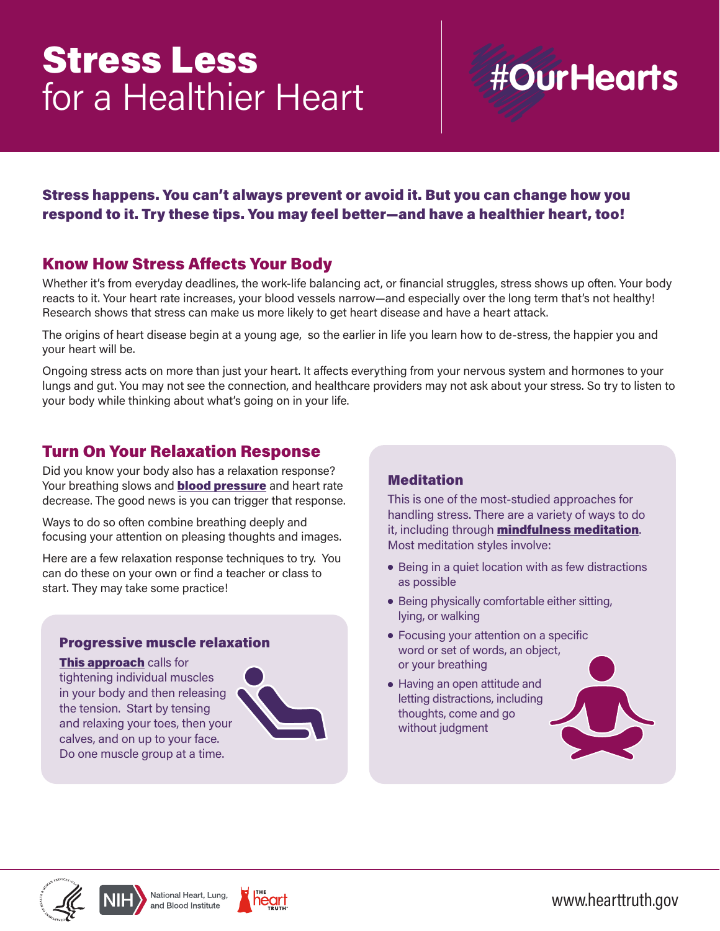# Stress Less for a Healthier Heart

# **#OurHearts**

## Stress happens. You can't always prevent or avoid it. But you can change how you respond to it. Try these tips. You may feel better—and have a healthier heart, too!

## Know How Stress Affects Your Body

Whether it's from everyday deadlines, the work-life balancing act, or financial struggles, stress shows up often. Your body reacts to it. Your heart rate increases, your blood vessels narrow—and especially over the long term that's not healthy! Research shows that stress can make us more likely to get heart disease and have a heart attack.

The origins of heart disease begin at a young age, so the earlier in life you learn how to de-stress, the happier you and your heart will be.

Ongoing stress acts on more than just your heart. It affects everything from your nervous system and hormones to your lungs and gut. You may not see the connection, and healthcare providers may not ask about your stress. So try to listen to your body while thinking about what's going on in your life.

## Turn On Your Relaxation Response

Did you know your body also has a relaxation response? Your breathing slows and **[blood pressure](https://www.nhlbi.nih.gov/education/high-blood-pressure)** and heart rate decrease. The good news is you can trigger that response.

Ways to do so often combine breathing deeply and focusing your attention on pleasing thoughts and images.

Here are a few relaxation response techniques to try. You can do these on your own or find a teacher or class to start. They may take some practice!

#### Progressive muscle relaxation

[This approach](https://www.va.gov/WHOLEHEALTHLIBRARY/tools/progressive-relaxation.asp) calls for tightening individual muscles in your body and then releasing the tension. Start by tensing and relaxing your toes, then your calves, and on up to your face. Do one muscle group at a time.



### **Meditation**

This is one of the most-studied approaches for handling stress. There are a variety of ways to do it, including through **[mindfulness meditation](https://www.nccih.nih.gov/health/meditation-in-depth)**. Most meditation styles involve:

- Being in a quiet location with as few distractions as possible
- Being physically comfortable either sitting, lying, or walking
- Focusing your attention on a specific word or set of words, an object, or your breathing
- Having an open attitude and letting distractions, including thoughts, come and go without judgment









<www.hearttruth.gov>